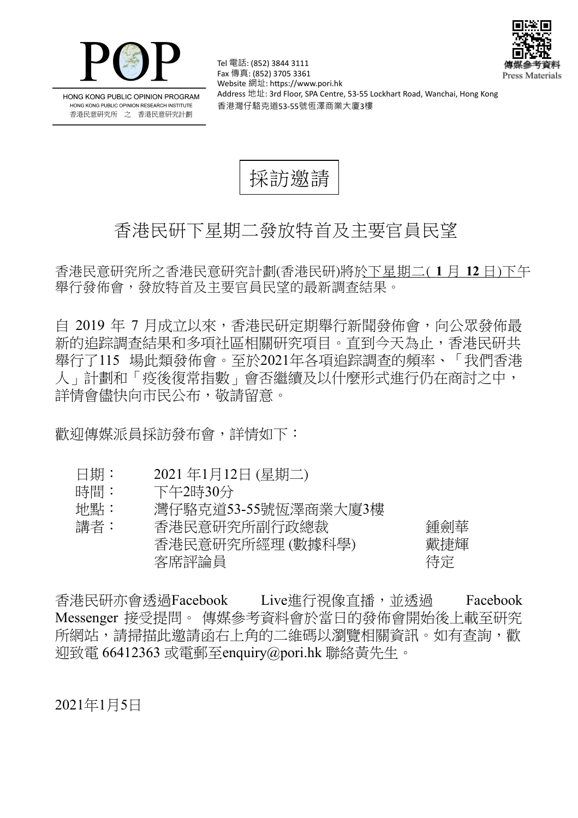



HONG KONG PUBLIC OPINION PROGRAM HONG KONG PUBLIC OPINION RESEARCH INSTITUTE 香港民意研究所 之 香港民意研究計劃

Tel 電話: (852) 3844 3111 Fax 傳真: (852) 3705 3361 Website 網址: https://www.pori.hk Address 地址: 3rd Floor, SPA Centre, 53-55 Lockhart Road, Wanchai, Hong Kong 香港灣仔駱克道53-55號恆澤商業大廈3樓

採訪激請

## 香港民研下星期二發放特首及主要官員民望

香港民意研究所之香港民意研究計劃(香港民研)將於下星期二( **1** 月 **12** 日)下午 舉行發佈會,發放特首及主要官員民望的最新調查結果。

自 2019 年 7 月成立以來,香港民研定期舉行新聞發佈會,向公眾發佈最 新的追踪調查結果和多項社區相關研究項目。直到今天為止,香港民研共 舉行了115 場此類發佈會。至於2021年各項追踪調査的頻率、「我們香港 人 」 計劃和 「 疫後復常指數 」 會否繼續及以什麼形式進行仍在商討之中, 詳情會儘快向市民公布,敬請留意。

歡迎傳媒派員採訪發布會,詳情如下:

- 日期: 2021年1月12日 (星期二)
- 時間: 下午2時30分
- 地點: 灣仔駱克道53-55號恆澤商業大廈3樓

| 講者: | 香港民意研究所副行政總裁     | 鍾劍華 |
|-----|------------------|-----|
|     | 香港民意研究所經理 (數據科學) | 戴捷輝 |
|     | 客席評論員            | 待定  |

香港民研亦會透過Facebook Live進行視像直播, 並透過 Facebook Messenger 接受提問。 傳媒參考資料會於當日的發佈會開始後上載至研究 所網站, 請掃描此激請函右上角的二維碼以瀏覽相關資訊。如有杳詢, 歡 迎致電 66412363 或電郵至enquiry@pori.hk 聯絡黃先生。

2021年1月5日